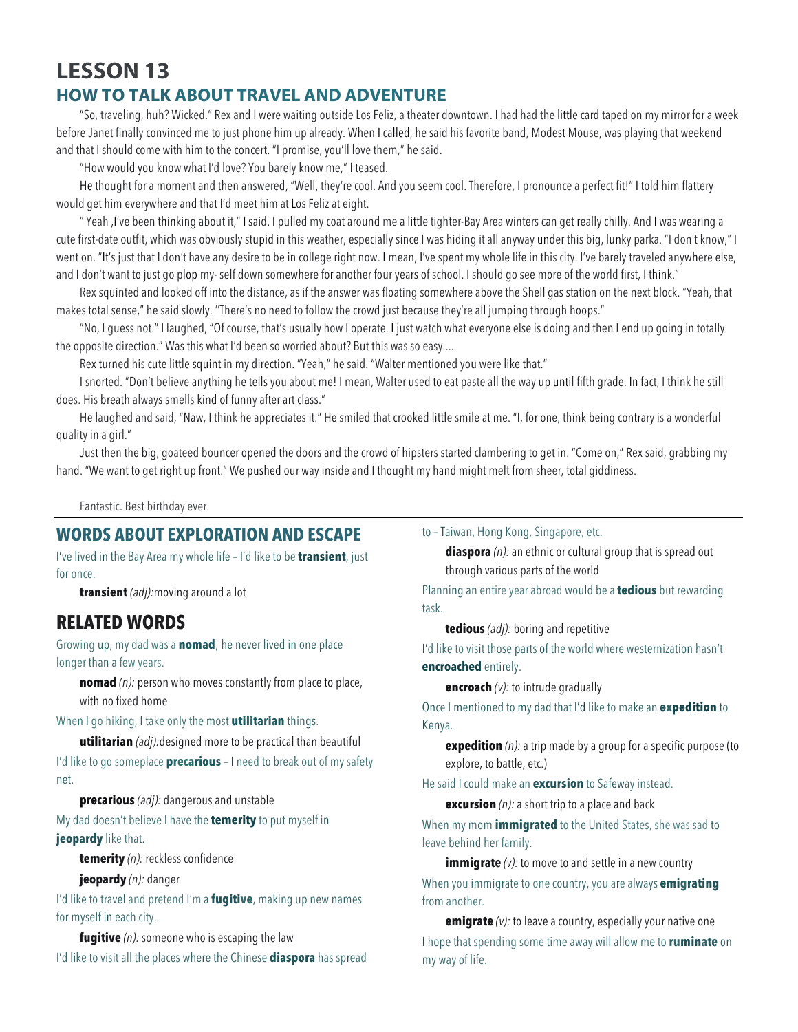### **LESSON 13 HOW TO TALK ABOUT TRAVEL AND ADVENTURE**

"So, traveling, huh? Wicked." Rex and I were waiting outside Los Feliz, a theater downtown. I had had the little card taped on my mirror for a week before Janet finally convinced me to just phone him up already. When I called, he said his favorite band, Modest Mouse, was playing that weekend and that I should come with him to the concert. "I promise, you'll love them," he said.

"How would you know what I'd love? You barely know me," I teased.

He thought for a moment and then answered, "Well, they're cool. And you seem cool. Therefore, I pronounce a perfect fit!" I told him flattery would get him everywhere and that I'd meet him at Los Feliz at eight.

" Yeah ,I've been thinking about it," I said. I pulled my coat around me a little tighter-Bay Area winters can get really chilly. And I was wearing a cute first-date outfit, which was obviously stupid in this weather, especially since I was hiding it all anyway under this big, lunky parka. "I don't know," I went on. "It's just that I don't have any desire to be in college right now. I mean, I've spent my whole life in this city. I've barely traveled anywhere else, and I don't want to just go plop my- self down somewhere for another four years of school. I should go see more of the world first, I think."

Rex squinted and looked off into the distance, as if the answer was floating somewhere above the Shell gas station on the next block. "Yeah, that makes total sense," he said slowly. ''There's no need to follow the crowd just because they're all jumping through hoops."

"No, I guess not." I laughed, "Of course, that's usually how I operate. I just watch what everyone else is doing and then I end up going in totally the opposite direction." Was this what I'd been so worried about? But this was so easy....

Rex turned his cute little squint in my direction. "Yeah," he said. "Walter mentioned you were like that."

I snorted. "Don't believe anything he tells you about me! I mean, Walter used to eat paste all the way up until fifth grade. In fact, I think he still does. His breath always smells kind of funny after art class."

He laughed and said, "Naw, I think he appreciates it." He smiled that crooked little smile at me. "I, for one, think being contrary is a wonderful quality in a girl."

Just then the big, goateed bouncer opened the doors and the crowd of hipsters started clambering to get in. "Come on," Rex said, grabbing my hand. "We want to get right up front." We pushed our way inside and I thought my hand might melt from sheer, total giddiness.

Fantastic. Best birthday ever.

# **WORDS ABOUT EXPLORATION AND ESCAPE**

I've lived in the Bay Area my whole life – I'd like to be **transient**, just for once.

**transient** *(adj):*moving around a lot

# **RELATED WORDS**

Growing up, my dad was a **nomad**; he never lived in one place longer than a few years.

**nomad** (n): person who moves constantly from place to place, with no fixed home

When I go hiking, I take only the most **utilitarian** things.

**utilitarian** *(adj):*designed more to be practical than beautiful I'd like to go someplace **precarious** – I need to break out of my safety

net.

**precarious** *(adj):* dangerous and unstable

My dad doesn't believe I have the **temerity** to put myself in **jeopardy** like that.

**temerity** *(n):* reckless confidence

**jeopardy** *(n):* danger

I'd like to travel and pretend I'm a **fugitive**, making up new names for myself in each city.

**fugitive** *(n):* someone who is escaping the law I'd like to visit all the places where the Chinese **diaspora** has spread to – Taiwan, Hong Kong, Singapore, etc.

**diaspora** *(n):* an ethnic or cultural group that is spread out through various parts of the world

Planning an entire year abroad would be a **tedious** but rewarding task.

**tedious** *(adj):* boring and repetitive

I'd like to visit those parts of the world where westernization hasn't **encroached** entirely.

**encroach** *(v):* to intrude gradually

Once I mentioned to my dad that I'd like to make an **expedition** to Kenya.

**expedition** *(n):* a trip made by a group for a specific purpose (to explore, to battle, etc.)

He said I could make an **excursion** to Safeway instead.

**excursion** *(n):* a short trip to a place and back

When my mom **immigrated** to the United States, she was sad to leave behind her family.

**immigrate** (v): to move to and settle in a new country When you immigrate to one country, you are always **emigrating** from another.

**emigrate** (v): to leave a country, especially your native one I hope that spending some time away will allow me to **ruminate** on my way of life.